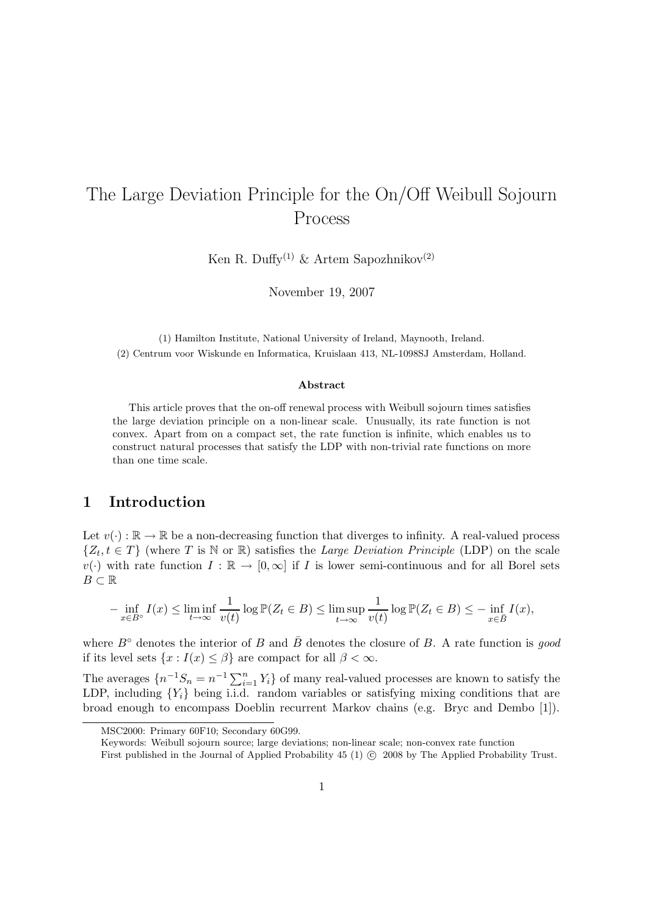# The Large Deviation Principle for the On/Off Weibull Sojourn Process

Ken R. Duffy<sup>(1)</sup> & Artem Sapozhnikov<sup>(2)</sup>

November 19, 2007

(1) Hamilton Institute, National University of Ireland, Maynooth, Ireland. (2) Centrum voor Wiskunde en Informatica, Kruislaan 413, NL-1098SJ Amsterdam, Holland.

#### Abstract

This article proves that the on-off renewal process with Weibull sojourn times satisfies the large deviation principle on a non-linear scale. Unusually, its rate function is not convex. Apart from on a compact set, the rate function is infinite, which enables us to construct natural processes that satisfy the LDP with non-trivial rate functions on more than one time scale.

# 1 Introduction

Let  $v(\cdot): \mathbb{R} \to \mathbb{R}$  be a non-decreasing function that diverges to infinity. A real-valued process  $\{Z_t, t \in T\}$  (where T is N or R) satisfies the Large Deviation Principle (LDP) on the scale  $v(\cdot)$  with rate function  $I : \mathbb{R} \to [0,\infty]$  if I is lower semi-continuous and for all Borel sets  $B \subset \mathbb{R}$ 

$$
-\inf_{x\in B^\circ} I(x) \le \liminf_{t\to\infty} \frac{1}{v(t)} \log \mathbb{P}(Z_t \in B) \le \limsup_{t\to\infty} \frac{1}{v(t)} \log \mathbb{P}(Z_t \in B) \le -\inf_{x\in \bar{B}} I(x),
$$

where  $B^{\circ}$  denotes the interior of B and  $\bar{B}$  denotes the closure of B. A rate function is good if its level sets  $\{x : I(x) \leq \beta\}$  are compact for all  $\beta < \infty$ .

The averages  $\{n^{-1}S_n = n^{-1}\sum_{i=1}^n Y_i\}$  of many real-valued processes are known to satisfy the LDP, including  ${Y_i}$  being i.i.d. random variables or satisfying mixing conditions that are broad enough to encompass Doeblin recurrent Markov chains (e.g. Bryc and Dembo [1]).

MSC2000: Primary 60F10; Secondary 60G99.

Keywords: Weibull sojourn source; large deviations; non-linear scale; non-convex rate function

First published in the Journal of Applied Probability 45 (1)  $\odot$  2008 by The Applied Probability Trust.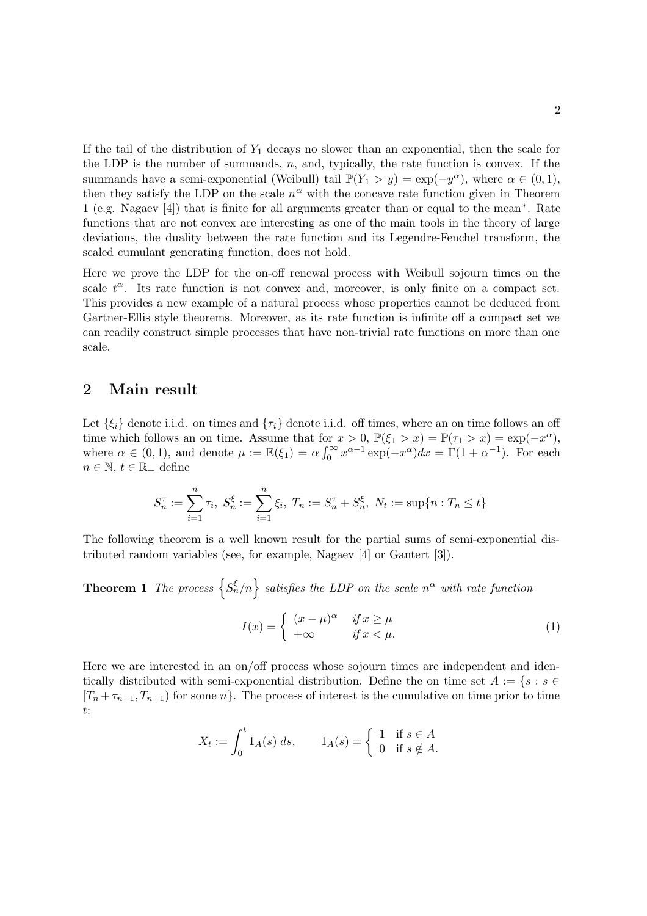If the tail of the distribution of  $Y_1$  decays no slower than an exponential, then the scale for the LDP is the number of summands,  $n$ , and, typically, the rate function is convex. If the summands have a semi-exponential (Weibull) tail  $\mathbb{P}(Y_1 > y) = \exp(-y^{\alpha})$ , where  $\alpha \in (0,1)$ , then they satisfy the LDP on the scale  $n^{\alpha}$  with the concave rate function given in Theorem 1 (e.g. Nagaev [4]) that is finite for all arguments greater than or equal to the mean<sup>∗</sup> . Rate functions that are not convex are interesting as one of the main tools in the theory of large deviations, the duality between the rate function and its Legendre-Fenchel transform, the scaled cumulant generating function, does not hold.

Here we prove the LDP for the on-off renewal process with Weibull sojourn times on the scale  $t^{\alpha}$ . Its rate function is not convex and, moreover, is only finite on a compact set. This provides a new example of a natural process whose properties cannot be deduced from Gartner-Ellis style theorems. Moreover, as its rate function is infinite off a compact set we can readily construct simple processes that have non-trivial rate functions on more than one scale.

### 2 Main result

Let  $\{\xi_i\}$  denote i.i.d. on times and  $\{\tau_i\}$  denote i.i.d. off times, where an on time follows an off time which follows an on time. Assume that for  $x > 0$ ,  $\mathbb{P}(\xi_1 > x) = \mathbb{P}(\tau_1 > x) = \exp(-x^{\alpha})$ , where  $\alpha \in (0,1)$ , and denote  $\mu := \mathbb{E}(\xi_1) = \alpha \int_0^\infty x^{\alpha-1} \exp(-x^\alpha) dx = \Gamma(1+\alpha^{-1})$ . For each  $n \in \mathbb{N}, t \in \mathbb{R}_+$  define

$$
S_n^{\tau} := \sum_{i=1}^n \tau_i, \ S_n^{\xi} := \sum_{i=1}^n \xi_i, \ T_n := S_n^{\tau} + S_n^{\xi}, \ N_t := \sup\{n : T_n \le t\}
$$

The following theorem is a well known result for the partial sums of semi-exponential distributed random variables (see, for example, Nagaev [4] or Gantert [3]).

**Theorem 1** The process  $\{S_n^{\xi}/n\}$  satisfies the LDP on the scale  $n^{\alpha}$  with rate function

$$
I(x) = \begin{cases} (x - \mu)^{\alpha} & \text{if } x \ge \mu \\ +\infty & \text{if } x < \mu. \end{cases}
$$
 (1)

Here we are interested in an on/off process whose sojourn times are independent and identically distributed with semi-exponential distribution. Define the on time set  $A := \{s : s \in \mathbb{R}^n : s \in \mathbb{R}^n\}$  $[T_n + \tau_{n+1}, T_{n+1}]$  for some n. The process of interest is the cumulative on time prior to time t:

$$
X_t := \int_0^t 1_A(s) \, ds, \qquad 1_A(s) = \begin{cases} 1 & \text{if } s \in A \\ 0 & \text{if } s \notin A. \end{cases}
$$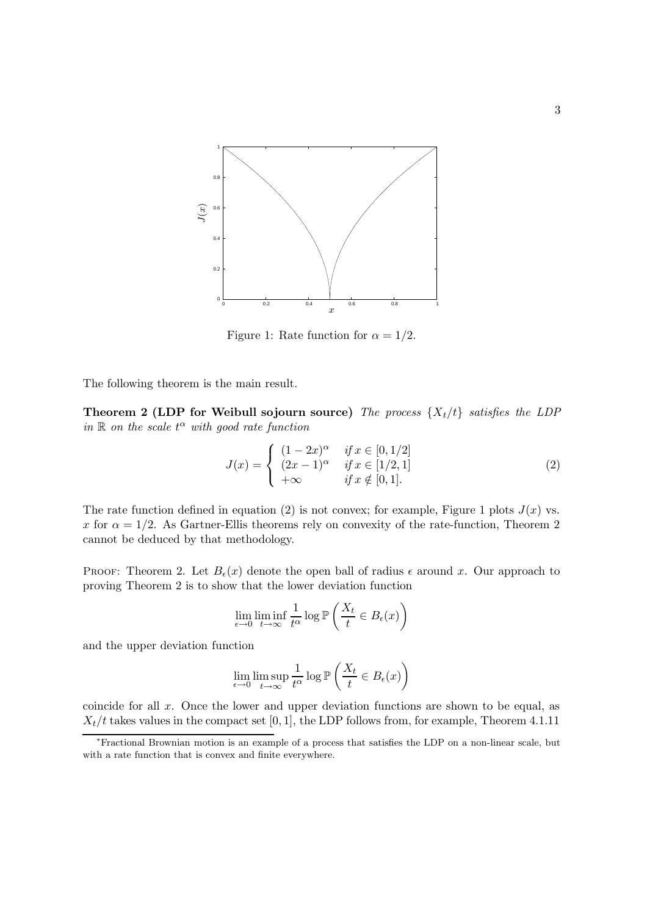

Figure 1: Rate function for  $\alpha = 1/2$ .

The following theorem is the main result.

Theorem 2 (LDP for Weibull sojourn source) The process  $\{X_t/t\}$  satisfies the LDP in  $\mathbb R$  on the scale  $t^{\alpha}$  with good rate function

$$
J(x) = \begin{cases} (1 - 2x)^{\alpha} & \text{if } x \in [0, 1/2] \\ (2x - 1)^{\alpha} & \text{if } x \in [1/2, 1] \\ +\infty & \text{if } x \notin [0, 1]. \end{cases}
$$
 (2)

The rate function defined in equation (2) is not convex; for example, Figure 1 plots  $J(x)$  vs. x for  $\alpha = 1/2$ . As Gartner-Ellis theorems rely on convexity of the rate-function, Theorem 2 cannot be deduced by that methodology.

PROOF: Theorem 2. Let  $B_{\epsilon}(x)$  denote the open ball of radius  $\epsilon$  around x. Our approach to proving Theorem 2 is to show that the lower deviation function

$$
\lim_{\epsilon \to 0} \liminf_{t \to \infty} \frac{1}{t^{\alpha}} \log \mathbb{P}\left(\frac{X_t}{t} \in B_{\epsilon}(x)\right)
$$

and the upper deviation function

$$
\lim_{\epsilon \to 0} \limsup_{t \to \infty} \frac{1}{t^{\alpha}} \log \mathbb{P}\left(\frac{X_t}{t} \in B_{\epsilon}(x)\right)
$$

coincide for all x. Once the lower and upper deviation functions are shown to be equal, as  $X_t/t$  takes values in the compact set [0, 1], the LDP follows from, for example, Theorem 4.1.11

<sup>∗</sup>Fractional Brownian motion is an example of a process that satisfies the LDP on a non-linear scale, but with a rate function that is convex and finite everywhere.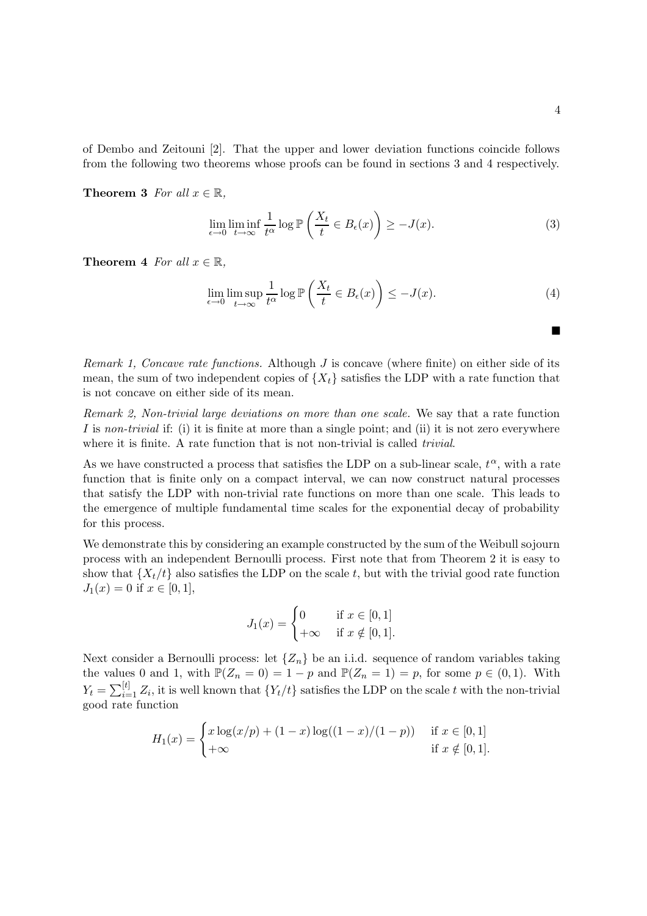of Dembo and Zeitouni [2]. That the upper and lower deviation functions coincide follows from the following two theorems whose proofs can be found in sections 3 and 4 respectively.

**Theorem 3** For all  $x \in \mathbb{R}$ ,

$$
\lim_{\epsilon \to 0} \liminf_{t \to \infty} \frac{1}{t^{\alpha}} \log \mathbb{P}\left(\frac{X_t}{t} \in B_{\epsilon}(x)\right) \ge -J(x). \tag{3}
$$

**Theorem 4** For all  $x \in \mathbb{R}$ .

$$
\lim_{\epsilon \to 0} \limsup_{t \to \infty} \frac{1}{t^{\alpha}} \log \mathbb{P}\left(\frac{X_t}{t} \in B_{\epsilon}(x)\right) \le -J(x). \tag{4}
$$

Remark 1, Concave rate functions. Although  $J$  is concave (where finite) on either side of its mean, the sum of two independent copies of  $\{X_t\}$  satisfies the LDP with a rate function that is not concave on either side of its mean.

Remark 2, Non-trivial large deviations on more than one scale. We say that a rate function I is non-trivial if: (i) it is finite at more than a single point; and (ii) it is not zero everywhere where it is finite. A rate function that is not non-trivial is called *trivial*.

As we have constructed a process that satisfies the LDP on a sub-linear scale,  $t^{\alpha}$ , with a rate function that is finite only on a compact interval, we can now construct natural processes that satisfy the LDP with non-trivial rate functions on more than one scale. This leads to the emergence of multiple fundamental time scales for the exponential decay of probability for this process.

We demonstrate this by considering an example constructed by the sum of the Weibull sojourn process with an independent Bernoulli process. First note that from Theorem 2 it is easy to show that  $\{X_t/t\}$  also satisfies the LDP on the scale t, but with the trivial good rate function  $J_1(x) = 0$  if  $x \in [0, 1]$ ,

$$
J_1(x) = \begin{cases} 0 & \text{if } x \in [0,1] \\ +\infty & \text{if } x \notin [0,1]. \end{cases}
$$

Next consider a Bernoulli process: let  $\{Z_n\}$  be an i.i.d. sequence of random variables taking the values 0 and 1, with  $\mathbb{P}(Z_n = 0) = 1 - p$  and  $\mathbb{P}(Z_n = 1) = p$ , for some  $p \in (0, 1)$ . With  $Y_t = \sum_{i=1}^{[t]} Z_i$ , it is well known that  $\{Y_t/t\}$  satisfies the LDP on the scale t with the non-trivial good rate function

$$
H_1(x) = \begin{cases} x \log(x/p) + (1-x) \log((1-x)/(1-p)) & \text{if } x \in [0,1] \\ +\infty & \text{if } x \notin [0,1]. \end{cases}
$$

■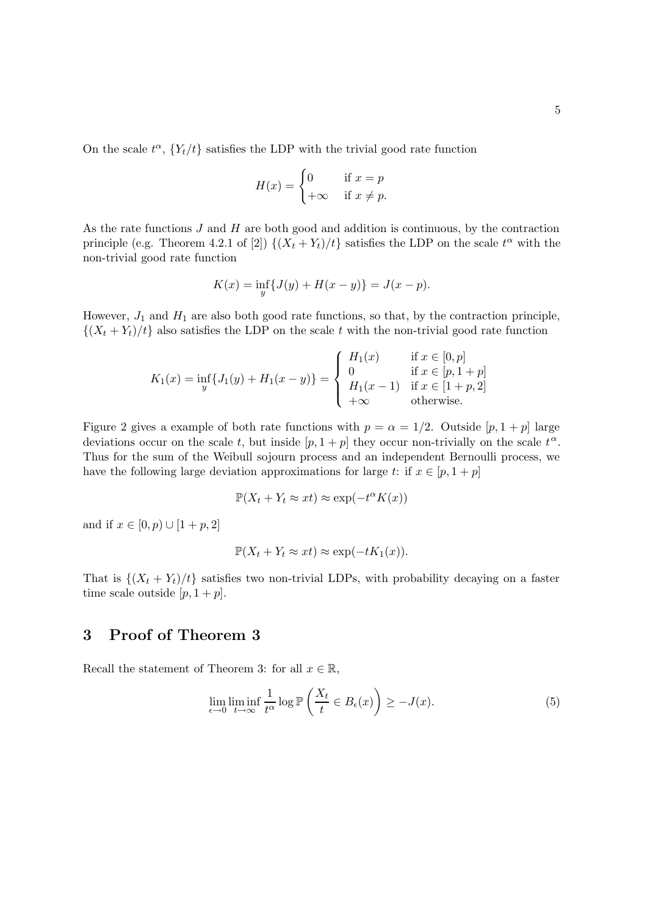On the scale  $t^{\alpha}$ ,  ${Y_t/t}$  satisfies the LDP with the trivial good rate function

$$
H(x) = \begin{cases} 0 & \text{if } x = p \\ +\infty & \text{if } x \neq p. \end{cases}
$$

As the rate functions J and H are both good and addition is continuous, by the contraction principle (e.g. Theorem 4.2.1 of [2])  $\{(X_t + Y_t)/t\}$  satisfies the LDP on the scale  $t^{\alpha}$  with the non-trivial good rate function

$$
K(x) = \inf_{y} \{ J(y) + H(x - y) \} = J(x - p).
$$

However,  $J_1$  and  $H_1$  are also both good rate functions, so that, by the contraction principle,  $\{(X_t + Y_t)/t\}$  also satisfies the LDP on the scale t with the non-trivial good rate function

$$
K_1(x) = \inf_{y} \{ J_1(y) + H_1(x - y) \} = \begin{cases} H_1(x) & \text{if } x \in [0, p] \\ 0 & \text{if } x \in [p, 1 + p] \\ H_1(x - 1) & \text{if } x \in [1 + p, 2] \\ +\infty & \text{otherwise.} \end{cases}
$$

Figure 2 gives a example of both rate functions with  $p = \alpha = 1/2$ . Outside [p, 1 + p] large deviations occur on the scale t, but inside  $[p, 1 + p]$  they occur non-trivially on the scale  $t^{\alpha}$ . Thus for the sum of the Weibull sojourn process and an independent Bernoulli process, we have the following large deviation approximations for large t: if  $x \in [p, 1 + p]$ 

$$
\mathbb{P}(X_t + Y_t \approx xt) \approx \exp(-t^{\alpha} K(x))
$$

and if  $x \in [0, p) \cup [1 + p, 2]$ 

$$
\mathbb{P}(X_t + Y_t \approx xt) \approx \exp(-tK_1(x)).
$$

That is  $\{(X_t + Y_t)/t\}$  satisfies two non-trivial LDPs, with probability decaying on a faster time scale outside  $[p, 1 + p]$ .

# 3 Proof of Theorem 3

Recall the statement of Theorem 3: for all  $x \in \mathbb{R}$ ,

$$
\lim_{\epsilon \to 0} \liminf_{t \to \infty} \frac{1}{t^{\alpha}} \log \mathbb{P}\left(\frac{X_t}{t} \in B_{\epsilon}(x)\right) \ge -J(x). \tag{5}
$$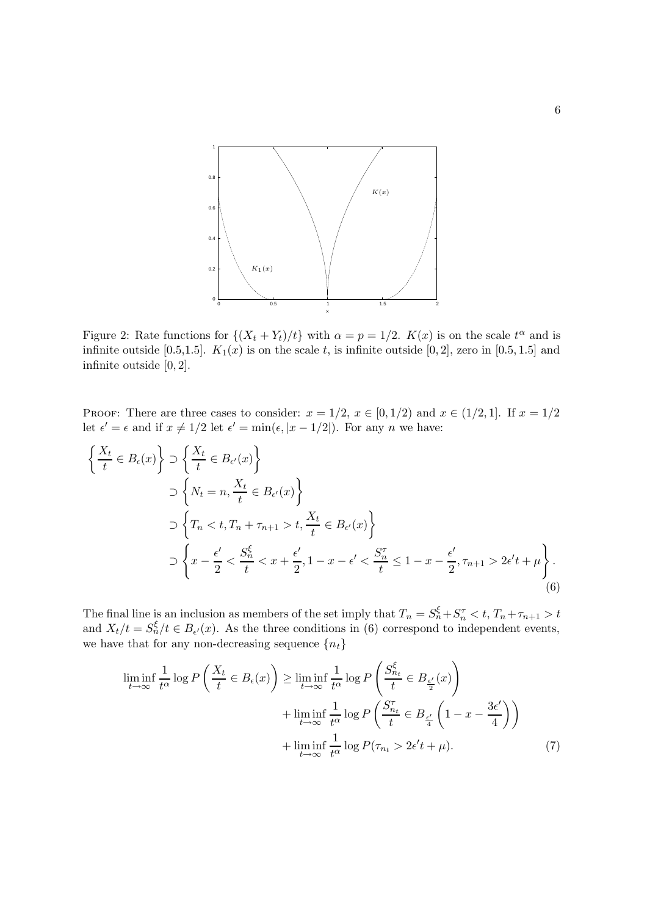

Figure 2: Rate functions for  $\{(X_t + Y_t)/t\}$  with  $\alpha = p = 1/2$ .  $K(x)$  is on the scale  $t^{\alpha}$  and is infinite outside [0.5,1.5].  $K_1(x)$  is on the scale t, is infinite outside [0, 2], zero in [0.5, 1.5] and infinite outside [0, 2].

PROOF: There are three cases to consider:  $x = 1/2$ ,  $x \in [0, 1/2)$  and  $x \in (1/2, 1]$ . If  $x = 1/2$ let  $\epsilon' = \epsilon$  and if  $x \neq 1/2$  let  $\epsilon' = \min(\epsilon, |x - 1/2|)$ . For any *n* we have:

$$
\begin{aligned}\n\left\{\frac{X_t}{t} \in B_{\epsilon}(x)\right\} &\supset \left\{\frac{X_t}{t} \in B_{\epsilon'}(x)\right\} \\
&\supset \left\{N_t = n, \frac{X_t}{t} \in B_{\epsilon'}(x)\right\} \\
&\supset \left\{T_n < t, T_n + \tau_{n+1} > t, \frac{X_t}{t} \in B_{\epsilon'}(x)\right\} \\
&\supset \left\{x - \frac{\epsilon'}{2} < \frac{S_n^{\xi}}{t} < x + \frac{\epsilon'}{2}, 1 - x - \epsilon' < \frac{S_n^{\tau}}{t} \le 1 - x - \frac{\epsilon'}{2}, \tau_{n+1} > 2\epsilon' t + \mu\right\}.\n\end{aligned}
$$
\n
$$
(6)
$$

The final line is an inclusion as members of the set imply that  $T_n = S_n^{\xi} + S_n^{\tau} < t$ ,  $T_n + \tau_{n+1} > t$ and  $X_t/t = S_n^{\xi}/t \in B_{\epsilon'}(x)$ . As the three conditions in (6) correspond to independent events, we have that for any non-decreasing sequence  $\{n_t\}$ 

$$
\liminf_{t \to \infty} \frac{1}{t^{\alpha}} \log P\left(\frac{X_t}{t} \in B_{\epsilon}(x)\right) \ge \liminf_{t \to \infty} \frac{1}{t^{\alpha}} \log P\left(\frac{S_{n_t}^{\xi}}{t} \in B_{\frac{\epsilon'}{2}}(x)\right) \n+ \liminf_{t \to \infty} \frac{1}{t^{\alpha}} \log P\left(\frac{S_{n_t}^{\tau}}{t} \in B_{\frac{\epsilon'}{4}}\left(1 - x - \frac{3\epsilon'}{4}\right)\right) \n+ \liminf_{t \to \infty} \frac{1}{t^{\alpha}} \log P(\tau_{n_t} > 2\epsilon' t + \mu).
$$
\n(7)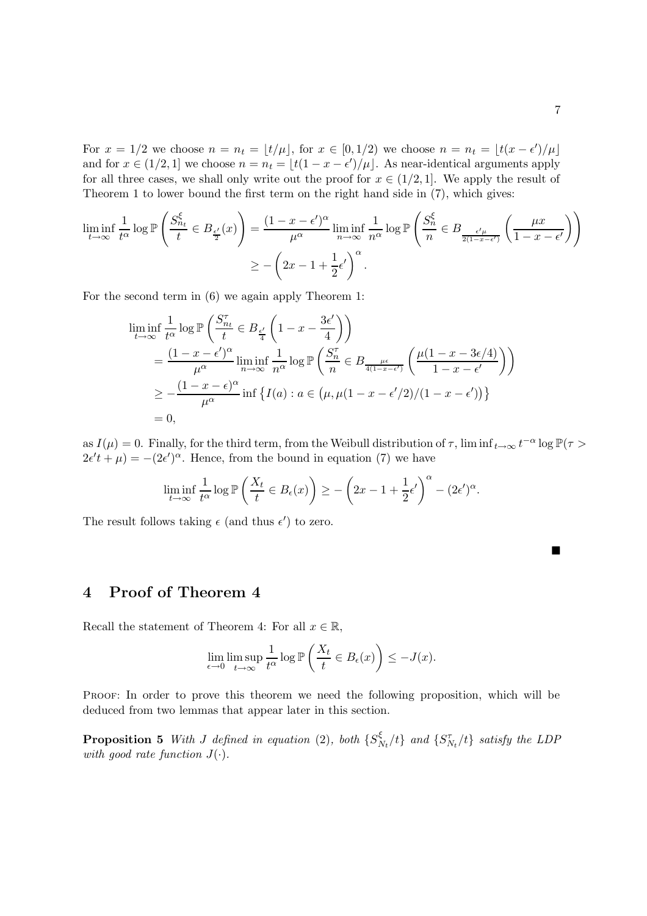For  $x = 1/2$  we choose  $n = n_t = \lfloor t/\mu \rfloor$ , for  $x \in [0, 1/2)$  we choose  $n = n_t = \lfloor t(x - \epsilon')/\mu \rfloor$ and for  $x \in (1/2, 1]$  we choose  $n = n_t = \lfloor t(1 - x - \epsilon')/\mu \rfloor$ . As near-identical arguments apply for all three cases, we shall only write out the proof for  $x \in (1/2, 1]$ . We apply the result of Theorem 1 to lower bound the first term on the right hand side in (7), which gives:

$$
\liminf_{t \to \infty} \frac{1}{t^{\alpha}} \log \mathbb{P}\left(\frac{S_{n_t}^{\xi}}{t} \in B_{\frac{\epsilon'}{2}}(x)\right) = \frac{(1 - x - \epsilon')^{\alpha}}{\mu^{\alpha}} \liminf_{n \to \infty} \frac{1}{n^{\alpha}} \log \mathbb{P}\left(\frac{S_n^{\xi}}{n} \in B_{\frac{\epsilon'\mu}{2(1 - x - \epsilon')}}\left(\frac{\mu x}{1 - x - \epsilon'}\right)\right)
$$

$$
\geq -\left(2x - 1 + \frac{1}{2}\epsilon'\right)^{\alpha}.
$$

For the second term in (6) we again apply Theorem 1:

$$
\liminf_{t \to \infty} \frac{1}{t^{\alpha}} \log \mathbb{P}\left(\frac{S_{n_t}^{\tau}}{t} \in B_{\frac{\epsilon'}{4}}\left(1 - x - \frac{3\epsilon'}{4}\right)\right)
$$
\n
$$
= \frac{(1 - x - \epsilon')^{\alpha}}{\mu^{\alpha}} \liminf_{n \to \infty} \frac{1}{n^{\alpha}} \log \mathbb{P}\left(\frac{S_n^{\tau}}{n} \in B_{\frac{\mu\epsilon}{4(1 - x - \epsilon')}}\left(\frac{\mu(1 - x - 3\epsilon/4)}{1 - x - \epsilon'}\right)\right)
$$
\n
$$
\geq -\frac{(1 - x - \epsilon)^{\alpha}}{\mu^{\alpha}} \inf \left\{I(a) : a \in (\mu, \mu(1 - x - \epsilon'/2)/(1 - x - \epsilon'))\right\}
$$
\n= 0,

as  $I(\mu) = 0$ . Finally, for the third term, from the Weibull distribution of  $\tau$ ,  $\liminf_{t\to\infty} t^{-\alpha} \log \mathbb{P}(\tau >$  $2\epsilon' t + \mu$  =  $-(2\epsilon')^{\alpha}$ . Hence, from the bound in equation (7) we have

$$
\liminf_{t \to \infty} \frac{1}{t^{\alpha}} \log \mathbb{P}\left(\frac{X_t}{t} \in B_{\epsilon}(x)\right) \ge -\left(2x - 1 + \frac{1}{2}\epsilon'\right)^{\alpha} - (2\epsilon')^{\alpha}.
$$

The result follows taking  $\epsilon$  (and thus  $\epsilon'$ ) to zero.

4 Proof of Theorem 4

Recall the statement of Theorem 4: For all  $x \in \mathbb{R}$ ,

$$
\lim_{\epsilon \to 0} \limsup_{t \to \infty} \frac{1}{t^{\alpha}} \log \mathbb{P}\left(\frac{X_t}{t} \in B_{\epsilon}(x)\right) \le -J(x).
$$

PROOF: In order to prove this theorem we need the following proposition, which will be deduced from two lemmas that appear later in this section.

**Proposition 5** With J defined in equation (2), both  $\{S^{\xi}_{\lambda}\}$  $\frac{\xi}{N_t}/t$  and  $\{S^{\tau}_{N_t}/t\}$  satisfy the LDP with good rate function  $J(\cdot)$ .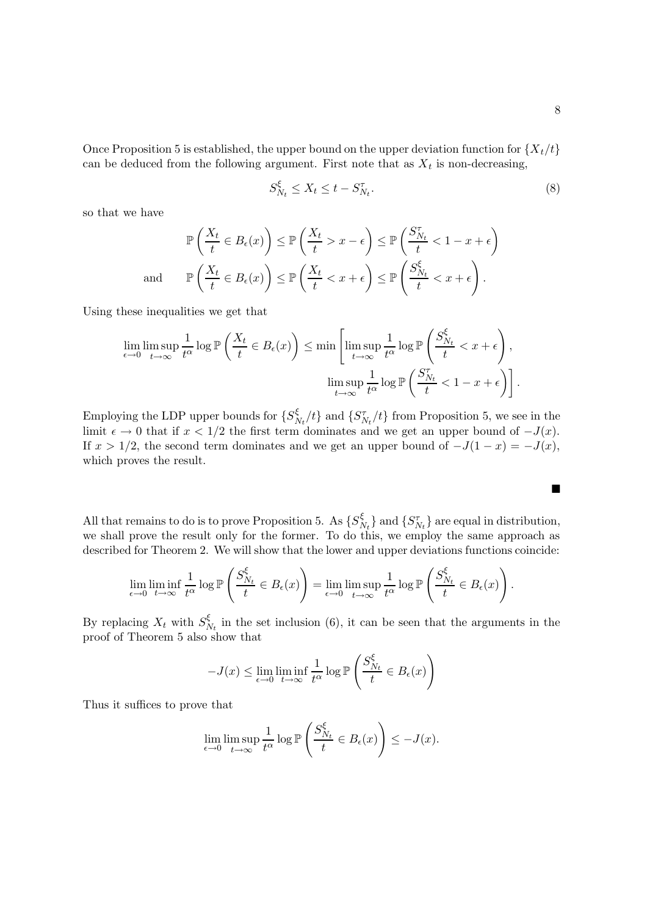Once Proposition 5 is established, the upper bound on the upper deviation function for  $\{X_t/t\}$ can be deduced from the following argument. First note that as  $X_t$  is non-decreasing,

$$
S_{N_t}^{\xi} \le X_t \le t - S_{N_t}^{\tau}.
$$
\n
$$
(8)
$$

so that we have

$$
\mathbb{P}\left(\frac{X_t}{t} \in B_{\epsilon}(x)\right) \leq \mathbb{P}\left(\frac{X_t}{t} > x - \epsilon\right) \leq \mathbb{P}\left(\frac{S_{N_t}^{\tau}}{t} < 1 - x + \epsilon\right)
$$
  
and 
$$
\mathbb{P}\left(\frac{X_t}{t} \in B_{\epsilon}(x)\right) \leq \mathbb{P}\left(\frac{X_t}{t} < x + \epsilon\right) \leq \mathbb{P}\left(\frac{S_{N_t}^{\xi}}{t} < x + \epsilon\right).
$$

Using these inequalities we get that

$$
\lim_{\epsilon \to 0} \limsup_{t \to \infty} \frac{1}{t^{\alpha}} \log \mathbb{P}\left(\frac{X_t}{t} \in B_{\epsilon}(x)\right) \le \min\left[\limsup_{t \to \infty} \frac{1}{t^{\alpha}} \log \mathbb{P}\left(\frac{S_{N_t}^{\xi}}{t} < x + \epsilon\right),\right]
$$
\n
$$
\limsup_{t \to \infty} \frac{1}{t^{\alpha}} \log \mathbb{P}\left(\frac{S_{N_t}^{\tau}}{t} < 1 - x + \epsilon\right)\right].
$$

Employing the LDP upper bounds for  $\{S^{\xi}_{\lambda}\}$  $\frac{\xi}{N_t}/t$  and  $\{S_{N_t}^{\tau}/t\}$  from Proposition 5, we see in the limit  $\epsilon \to 0$  that if  $x < 1/2$  the first term dominates and we get an upper bound of  $-J(x)$ . If  $x > 1/2$ , the second term dominates and we get an upper bound of  $-J(1-x) = -J(x)$ , which proves the result.

All that remains to do is to prove Proposition 5. As  $\{S^{\xi}_{\lambda}\}$  $\{S_{N_t} \}$  and  $\{S_{N_t}^{\tau}\}$  are equal in distribution, we shall prove the result only for the former. To do this, we employ the same approach as described for Theorem 2. We will show that the lower and upper deviations functions coincide:

$$
\lim_{\epsilon \to 0} \liminf_{t \to \infty} \frac{1}{t^{\alpha}} \log \mathbb{P}\left(\frac{S_{N_t}^{\xi}}{t} \in B_{\epsilon}(x)\right) = \lim_{\epsilon \to 0} \limsup_{t \to \infty} \frac{1}{t^{\alpha}} \log \mathbb{P}\left(\frac{S_{N_t}^{\xi}}{t} \in B_{\epsilon}(x)\right).
$$

By replacing  $X_t$  with  $S^{\xi}_{N}$  $N_t$  in the set inclusion (6), it can be seen that the arguments in the proof of Theorem 5 also show that

$$
-J(x) \le \lim_{\epsilon \to 0} \liminf_{t \to \infty} \frac{1}{t^{\alpha}} \log \mathbb{P}\left(\frac{S_{N_t}^{\xi}}{t} \in B_{\epsilon}(x)\right)
$$

Thus it suffices to prove that

$$
\lim_{\epsilon \to 0} \limsup_{t \to \infty} \frac{1}{t^{\alpha}} \log \mathbb{P}\left(\frac{S_{N_t}^{\xi}}{t} \in B_{\epsilon}(x)\right) \le -J(x).
$$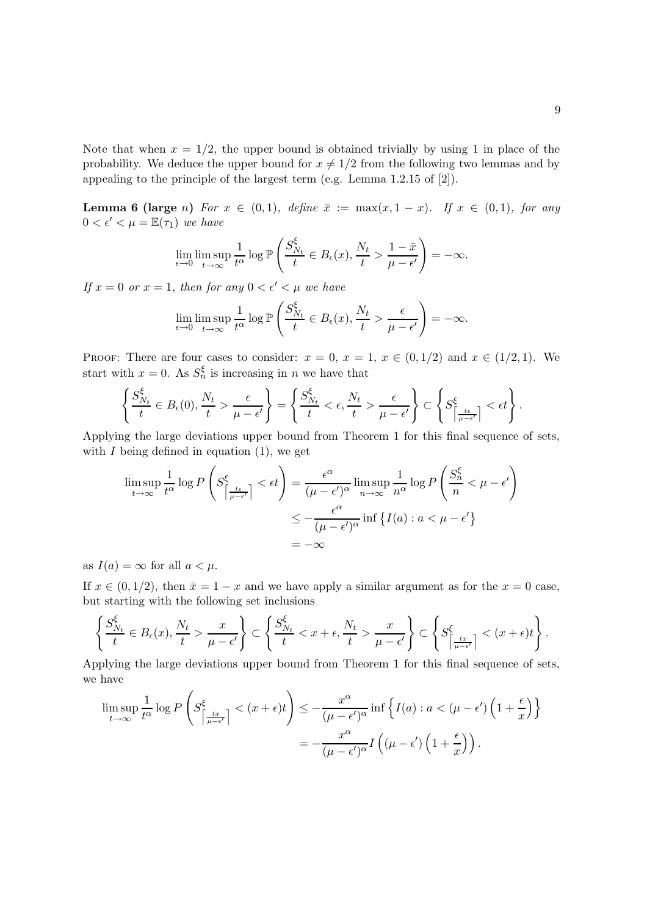Note that when  $x = 1/2$ , the upper bound is obtained trivially by using 1 in place of the probability. We deduce the upper bound for  $x \neq 1/2$  from the following two lemmas and by appealing to the principle of the largest term (e.g. Lemma 1.2.15 of [2]).

Lemma 6 (large n) For  $x \in (0,1)$ , define  $\bar{x} := \max(x, 1-x)$ . If  $x \in (0,1)$ , for any  $0 < \epsilon' < \mu = \mathbb{E}(\tau_1)$  we have

ξ

$$
\lim_{\epsilon \to 0} \limsup_{t \to \infty} \frac{1}{t^{\alpha}} \log \mathbb{P}\left(\frac{S_{N_t}^{\xi}}{t} \in B_{\epsilon}(x), \frac{N_t}{t} > \frac{1 - \bar{x}}{\mu - \epsilon'}\right) = -\infty.
$$

If  $x = 0$  or  $x = 1$ , then for any  $0 < \epsilon' < \mu$  we have

$$
\lim_{\epsilon \to 0} \limsup_{t \to \infty} \frac{1}{t^{\alpha}} \log \mathbb{P}\left(\frac{S_{N_t}^{\xi}}{t} \in B_{\epsilon}(x), \frac{N_t}{t} > \frac{\epsilon}{\mu - \epsilon'}\right) = -\infty.
$$

PROOF: There are four cases to consider:  $x = 0$ ,  $x = 1$ ,  $x \in (0, 1/2)$  and  $x \in (1/2, 1)$ . We start with  $x = 0$ . As  $S_n^{\xi}$  is increasing in n we have that

$$
\left\{\frac{S_{N_t}^{\xi}}{t} \in B_{\epsilon}(0), \frac{N_t}{t} > \frac{\epsilon}{\mu - \epsilon'}\right\} = \left\{\frac{S_{N_t}^{\xi}}{t} < \epsilon, \frac{N_t}{t} > \frac{\epsilon}{\mu - \epsilon'}\right\} \subset \left\{S_{\left\lceil \frac{t\epsilon}{\mu - \epsilon'}\right\rceil}^{\xi} < \epsilon t\right\}.
$$

Applying the large deviations upper bound from Theorem 1 for this final sequence of sets, with  $I$  being defined in equation  $(1)$ , we get

$$
\limsup_{t \to \infty} \frac{1}{t^{\alpha}} \log P \left( S^{\xi}_{\left\lceil \frac{t\epsilon}{\mu - \epsilon'} \right\rceil} < \epsilon t \right) = \frac{\epsilon^{\alpha}}{(\mu - \epsilon')^{\alpha}} \limsup_{n \to \infty} \frac{1}{n^{\alpha}} \log P \left( \frac{S^{\xi}_{n}}{n} < \mu - \epsilon' \right)
$$

$$
\leq -\frac{\epsilon^{\alpha}}{(\mu - \epsilon')^{\alpha}} \inf \left\{ I(a) : a < \mu - \epsilon' \right\}
$$

$$
= -\infty
$$

as  $I(a) = \infty$  for all  $a < \mu$ .

If  $x \in (0, 1/2)$ , then  $\bar{x} = 1 - x$  and we have apply a similar argument as for the  $x = 0$  case, but starting with the following set inclusions

$$
\left\{\frac{S_{N_t}^{\xi}}{t} \in B_{\epsilon}(x), \frac{N_t}{t} > \frac{x}{\mu - \epsilon'}\right\} \subset \left\{\frac{S_{N_t}^{\xi}}{t} < x + \epsilon, \frac{N_t}{t} > \frac{x}{\mu - \epsilon'}\right\} \subset \left\{S_{\left\lceil \frac{tx}{\mu - \epsilon'}\right\rceil}^{\xi} < (x + \epsilon)t\right\}.
$$

Applying the large deviations upper bound from Theorem 1 for this final sequence of sets, we have

$$
\limsup_{t \to \infty} \frac{1}{t^{\alpha}} \log P \left( S^{\xi}_{\left| \frac{tx}{\mu - \epsilon'} \right|} < (x + \epsilon)t \right) \leq -\frac{x^{\alpha}}{(\mu - \epsilon')^{\alpha}} \inf \left\{ I(a) : a < (\mu - \epsilon') \left( 1 + \frac{\epsilon}{x} \right) \right\}
$$
\n
$$
= -\frac{x^{\alpha}}{(\mu - \epsilon')^{\alpha}} I \left( (\mu - \epsilon') \left( 1 + \frac{\epsilon}{x} \right) \right).
$$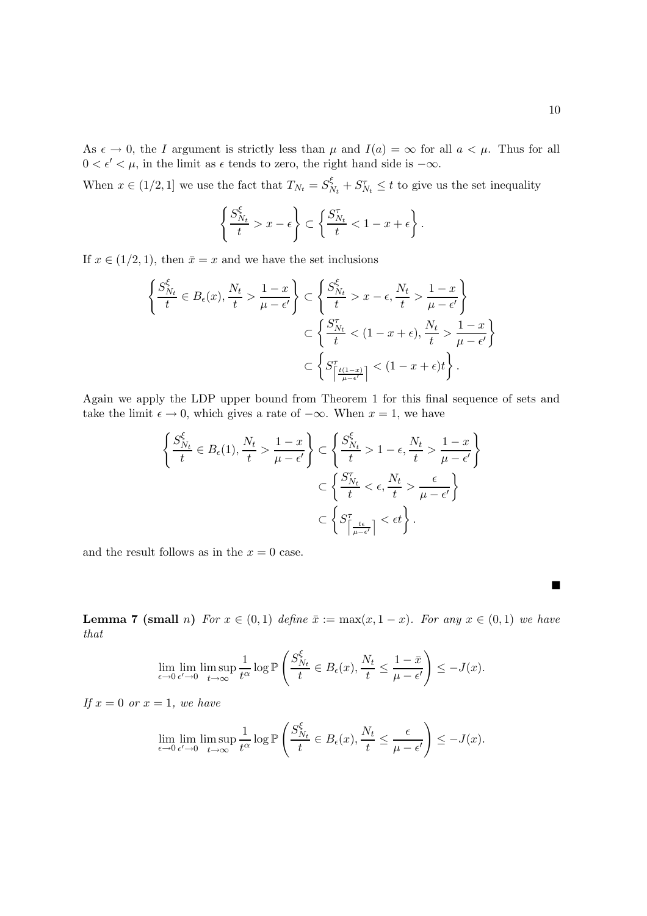As  $\epsilon \to 0$ , the I argument is strictly less than  $\mu$  and  $I(a) = \infty$  for all  $a < \mu$ . Thus for all  $0 < \epsilon' < \mu$ , in the limit as  $\epsilon$  tends to zero, the right hand side is  $-\infty$ .

When  $x \in (1/2, 1]$  we use the fact that  $T_{N_t} = S_N^{\xi}$  $S_{N_t}^{\xi} + S_{N_t}^{\tau} \leq t$  to give us the set inequality

$$
\left\{\frac{S_{N_t}^{\xi}}{t} > x - \epsilon\right\} \subset \left\{\frac{S_{N_t}^{\tau}}{t} < 1 - x + \epsilon\right\}.
$$

If  $x \in (1/2, 1)$ , then  $\bar{x} = x$  and we have the set inclusions

$$
\left\{\frac{S_{N_t}^{\xi}}{t} \in B_{\epsilon}(x), \frac{N_t}{t} > \frac{1-x}{\mu - \epsilon'}\right\} \subset \left\{\frac{S_{N_t}^{\xi}}{t} > x - \epsilon, \frac{N_t}{t} > \frac{1-x}{\mu - \epsilon'}\right\}
$$

$$
\subset \left\{\frac{S_{N_t}^{\tau}}{t} < (1 - x + \epsilon), \frac{N_t}{t} > \frac{1-x}{\mu - \epsilon'}\right\}
$$

$$
\subset \left\{S_{\left\lceil \frac{t(1-x)}{\mu - \epsilon'}\right\rceil}^{\tau} < (1 - x + \epsilon)t\right\}.
$$

Again we apply the LDP upper bound from Theorem 1 for this final sequence of sets and take the limit  $\epsilon \to 0$ , which gives a rate of  $-\infty$ . When  $x = 1$ , we have

$$
\left\{\frac{S_{N_t}^{\xi}}{t} \in B_{\epsilon}(1), \frac{N_t}{t} > \frac{1-x}{\mu - \epsilon'}\right\} \subset \left\{\frac{S_{N_t}^{\xi}}{t} > 1 - \epsilon, \frac{N_t}{t} > \frac{1-x}{\mu - \epsilon'}\right\}
$$

$$
\subset \left\{\frac{S_{N_t}^{\tau}}{t} < \epsilon, \frac{N_t}{t} > \frac{\epsilon}{\mu - \epsilon'}\right\}
$$

$$
\subset \left\{S_{\left\lceil \frac{t\epsilon}{\mu - \epsilon'}\right\rceil}^{\tau} < \epsilon t\right\}.
$$

and the result follows as in the  $x = 0$  case.

**Lemma 7 (small** n) For  $x \in (0,1)$  define  $\bar{x} := \max(x, 1-x)$ . For any  $x \in (0,1)$  we have that

$$
\lim_{\epsilon \to 0} \lim_{\epsilon' \to 0} \limsup_{t \to \infty} \frac{1}{t^{\alpha}} \log \mathbb{P}\left(\frac{S_{N_t}^{\xi}}{t} \in B_{\epsilon}(x), \frac{N_t}{t} \le \frac{1 - \bar{x}}{\mu - \epsilon'}\right) \le -J(x).
$$

If  $x = 0$  or  $x = 1$ , we have

$$
\lim_{\epsilon \to 0} \lim_{\epsilon' \to 0} \limsup_{t \to \infty} \frac{1}{t^{\alpha}} \log \mathbb{P}\left(\frac{S_{N_t}^{\xi}}{t} \in B_{\epsilon}(x), \frac{N_t}{t} \leq \frac{\epsilon}{\mu - \epsilon'}\right) \leq -J(x).
$$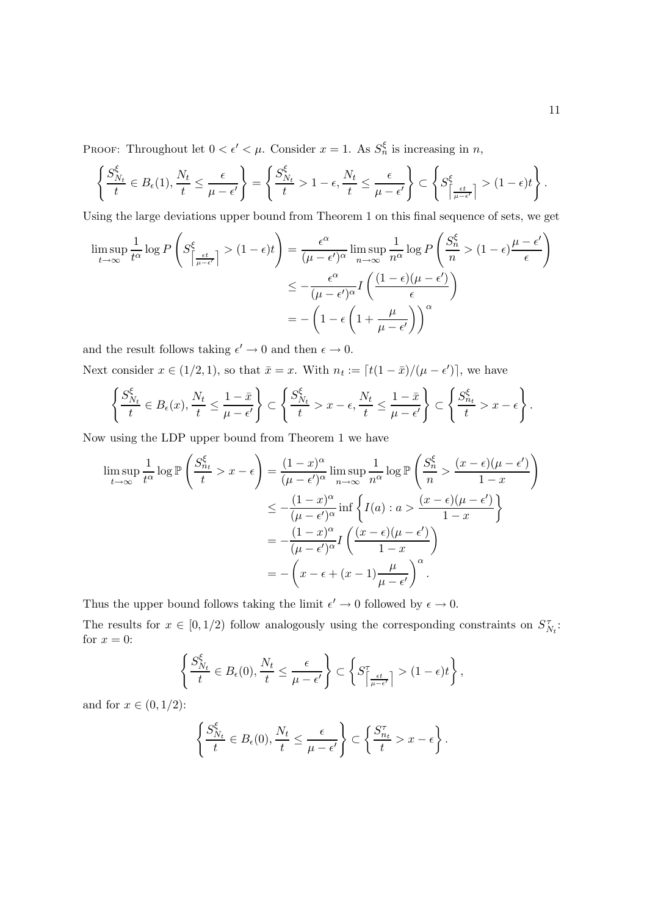PROOF: Throughout let  $0 < \epsilon' < \mu$ . Consider  $x = 1$ . As  $S_n^{\xi}$  is increasing in n,

$$
\left\{\frac{S_{N_t}^{\xi}}{t} \in B_{\epsilon}(1), \frac{N_t}{t} \le \frac{\epsilon}{\mu - \epsilon'}\right\} = \left\{\frac{S_{N_t}^{\xi}}{t} > 1 - \epsilon, \frac{N_t}{t} \le \frac{\epsilon}{\mu - \epsilon'}\right\} \subset \left\{S_{\left\lceil \frac{\epsilon t}{\mu - \epsilon'}\right\rceil}^{\xi} > (1 - \epsilon)t\right\}.
$$

Using the large deviations upper bound from Theorem 1 on this final sequence of sets, we get

$$
\limsup_{t \to \infty} \frac{1}{t^{\alpha}} \log P \left( S^{\xi}_{\left\lceil \frac{\epsilon t}{\mu - \epsilon'} \right\rceil} > (1 - \epsilon)t \right) = \frac{\epsilon^{\alpha}}{(\mu - \epsilon')^{\alpha}} \limsup_{n \to \infty} \frac{1}{n^{\alpha}} \log P \left( \frac{S^{\xi}_{n}}{n} > (1 - \epsilon) \frac{\mu - \epsilon'}{\epsilon} \right)
$$

$$
\leq -\frac{\epsilon^{\alpha}}{(\mu - \epsilon')^{\alpha}} I \left( \frac{(1 - \epsilon)(\mu - \epsilon')}{\epsilon} \right)
$$

$$
= -\left( 1 - \epsilon \left( 1 + \frac{\mu}{\mu - \epsilon'} \right) \right)^{\alpha}
$$

and the result follows taking  $\epsilon' \to 0$  and then  $\epsilon \to 0$ .

Next consider  $x \in (1/2, 1)$ , so that  $\bar{x} = x$ . With  $n_t := [t(1 - \bar{x})/(\mu - \epsilon')]$ , we have

$$
\left\{\frac{S_{N_t}^{\xi}}{t} \in B_{\epsilon}(x), \frac{N_t}{t} \leq \frac{1-\bar{x}}{\mu-\epsilon'}\right\} \subset \left\{\frac{S_{N_t}^{\xi}}{t} > x-\epsilon, \frac{N_t}{t} \leq \frac{1-\bar{x}}{\mu-\epsilon'}\right\} \subset \left\{\frac{S_{n_t}^{\xi}}{t} > x-\epsilon\right\}.
$$

Now using the LDP upper bound from Theorem 1 we have

$$
\limsup_{t \to \infty} \frac{1}{t^{\alpha}} \log \mathbb{P}\left(\frac{S_{n_t}^{\xi}}{t} > x - \epsilon\right) = \frac{(1-x)^{\alpha}}{(\mu - \epsilon')^{\alpha}} \limsup_{n \to \infty} \frac{1}{n^{\alpha}} \log \mathbb{P}\left(\frac{S_n^{\xi}}{n} > \frac{(x-\epsilon)(\mu - \epsilon')}{1-x}\right)
$$
  

$$
\leq -\frac{(1-x)^{\alpha}}{(\mu - \epsilon')^{\alpha}} \inf \left\{ I(a) : a > \frac{(x-\epsilon)(\mu - \epsilon')}{1-x} \right\}
$$
  

$$
= -\frac{(1-x)^{\alpha}}{(\mu - \epsilon')^{\alpha}} I\left(\frac{(x-\epsilon)(\mu - \epsilon')}{1-x}\right)
$$
  

$$
= -\left(x - \epsilon + (x - 1)\frac{\mu}{\mu - \epsilon'}\right)^{\alpha}.
$$

Thus the upper bound follows taking the limit  $\epsilon' \to 0$  followed by  $\epsilon \to 0$ .

The results for  $x \in [0, 1/2)$  follow analogously using the corresponding constraints on  $S_{N_t}^{\tau}$ . for  $x = 0$ :

$$
\left\{\frac{S_{N_t}^{\xi}}{t} \in B_{\epsilon}(0), \frac{N_t}{t} \leq \frac{\epsilon}{\mu - \epsilon'}\right\} \subset \left\{S_{\left\lceil \frac{\epsilon t}{\mu - \epsilon'}\right\rceil}^{\tau} > (1 - \epsilon)t\right\},\
$$

and for  $x \in (0, 1/2)$ :

$$
\left\{\frac{S_{N_t}^{\xi}}{t} \in B_{\epsilon}(0), \frac{N_t}{t} \leq \frac{\epsilon}{\mu - \epsilon'}\right\} \subset \left\{\frac{S_{n_t}^{\tau}}{t} > x - \epsilon\right\}.
$$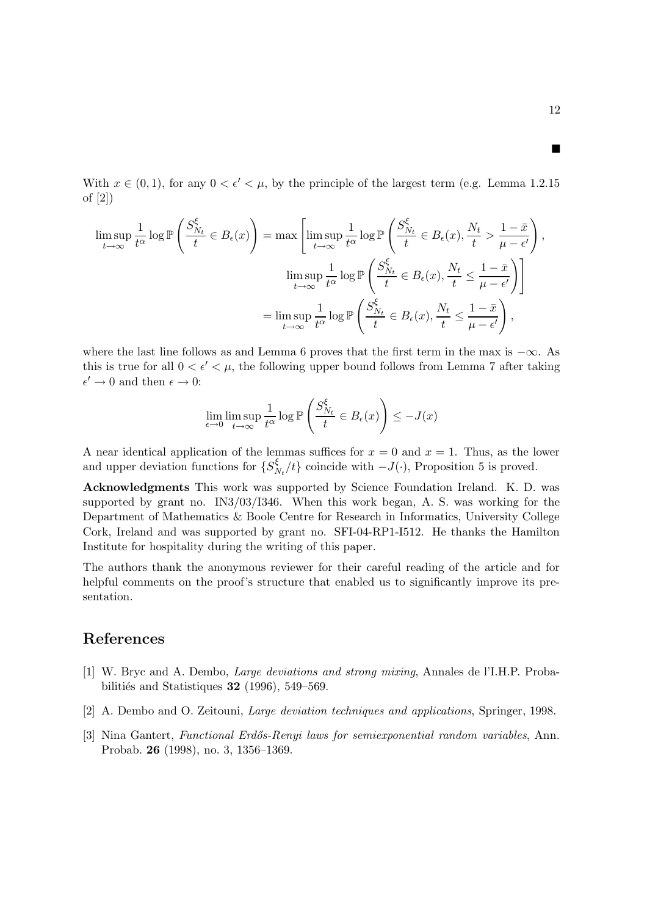With  $x \in (0, 1)$ , for any  $0 \lt \epsilon' \lt \mu$ , by the principle of the largest term (e.g. Lemma 1.2.15) of [2])

$$
\limsup_{t \to \infty} \frac{1}{t^{\alpha}} \log \mathbb{P} \left( \frac{S_{N_t}^{\xi}}{t} \in B_{\epsilon}(x) \right) = \max \left[ \limsup_{t \to \infty} \frac{1}{t^{\alpha}} \log \mathbb{P} \left( \frac{S_{N_t}^{\xi}}{t} \in B_{\epsilon}(x), \frac{N_t}{t} > \frac{1 - \bar{x}}{\mu - \epsilon'} \right), \right]
$$
\n
$$
\limsup_{t \to \infty} \frac{1}{t^{\alpha}} \log \mathbb{P} \left( \frac{S_{N_t}^{\xi}}{t} \in B_{\epsilon}(x), \frac{N_t}{t} \le \frac{1 - \bar{x}}{\mu - \epsilon'} \right) \right]
$$
\n
$$
= \limsup_{t \to \infty} \frac{1}{t^{\alpha}} \log \mathbb{P} \left( \frac{S_{N_t}^{\xi}}{t} \in B_{\epsilon}(x), \frac{N_t}{t} \le \frac{1 - \bar{x}}{\mu - \epsilon'} \right),
$$

where the last line follows as and Lemma 6 proves that the first term in the max is  $-\infty$ . As this is true for all  $0 < \epsilon' < \mu$ , the following upper bound follows from Lemma 7 after taking  $\epsilon' \rightarrow 0$  and then  $\epsilon \rightarrow 0$ :

$$
\lim_{\epsilon \to 0} \limsup_{t \to \infty} \frac{1}{t^{\alpha}} \log \mathbb{P}\left(\frac{S_{N_t}^{\xi}}{t} \in B_{\epsilon}(x)\right) \le -J(x)
$$

A near identical application of the lemmas suffices for  $x = 0$  and  $x = 1$ . Thus, as the lower and upper deviation functions for  $\{S_{\lambda}^{\xi}\}$  $N_t/t$  coincide with  $-J(\cdot)$ , Proposition 5 is proved.

Acknowledgments This work was supported by Science Foundation Ireland. K. D. was supported by grant no. IN3/03/I346. When this work began, A. S. was working for the Department of Mathematics & Boole Centre for Research in Informatics, University College Cork, Ireland and was supported by grant no. SFI-04-RP1-I512. He thanks the Hamilton Institute for hospitality during the writing of this paper.

The authors thank the anonymous reviewer for their careful reading of the article and for helpful comments on the proof's structure that enabled us to significantly improve its presentation.

### References

- [1] W. Bryc and A. Dembo, Large deviations and strong mixing, Annales de l'I.H.P. Probabilitiés and Statistiques  $32$  (1996), 549–569.
- [2] A. Dembo and O. Zeitouni, Large deviation techniques and applications, Springer, 1998.
- [3] Nina Gantert, Functional Erdős-Renyi laws for semiexponential random variables, Ann. Probab. 26 (1998), no. 3, 1356–1369.